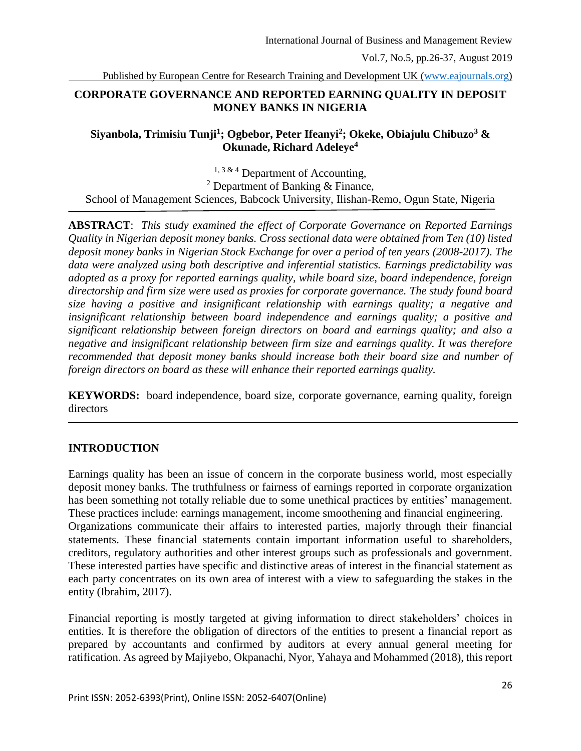Published by European Centre for Research Training and Development UK [\(www.eajournals.org\)](http://www.eajournals.org/)

### **CORPORATE GOVERNANCE AND REPORTED EARNING QUALITY IN DEPOSIT MONEY BANKS IN NIGERIA**

### **Siyanbola, Trimisiu Tunji<sup>1</sup> ; Ogbebor, Peter Ifeanyi<sup>2</sup> ; Okeke, Obiajulu Chibuzo<sup>3</sup> & Okunade, Richard Adeleye<sup>4</sup>**

 $1, 3 \& 4$  Department of Accounting, <sup>2</sup> Department of Banking & Finance, School of Management Sciences, Babcock University, Ilishan-Remo, Ogun State, Nigeria

**ABSTRACT**: *This study examined the effect of Corporate Governance on Reported Earnings Quality in Nigerian deposit money banks. Cross sectional data were obtained from Ten (10) listed deposit money banks in Nigerian Stock Exchange for over a period of ten years (2008-2017). The data were analyzed using both descriptive and inferential statistics. Earnings predictability was adopted as a proxy for reported earnings quality, while board size, board independence, foreign directorship and firm size were used as proxies for corporate governance. The study found board size having a positive and insignificant relationship with earnings quality; a negative and insignificant relationship between board independence and earnings quality; a positive and significant relationship between foreign directors on board and earnings quality; and also a negative and insignificant relationship between firm size and earnings quality. It was therefore recommended that deposit money banks should increase both their board size and number of foreign directors on board as these will enhance their reported earnings quality.*

**KEYWORDS:** board independence, board size, corporate governance, earning quality, foreign directors

### **INTRODUCTION**

Earnings quality has been an issue of concern in the corporate business world, most especially deposit money banks. The truthfulness or fairness of earnings reported in corporate organization has been something not totally reliable due to some unethical practices by entities' management. These practices include: earnings management, income smoothening and financial engineering. Organizations communicate their affairs to interested parties, majorly through their financial statements. These financial statements contain important information useful to shareholders, creditors, regulatory authorities and other interest groups such as professionals and government. These interested parties have specific and distinctive areas of interest in the financial statement as each party concentrates on its own area of interest with a view to safeguarding the stakes in the entity (Ibrahim, 2017).

Financial reporting is mostly targeted at giving information to direct stakeholders' choices in entities. It is therefore the obligation of directors of the entities to present a financial report as prepared by accountants and confirmed by auditors at every annual general meeting for ratification. As agreed by Majiyebo, Okpanachi, Nyor, Yahaya and Mohammed (2018), this report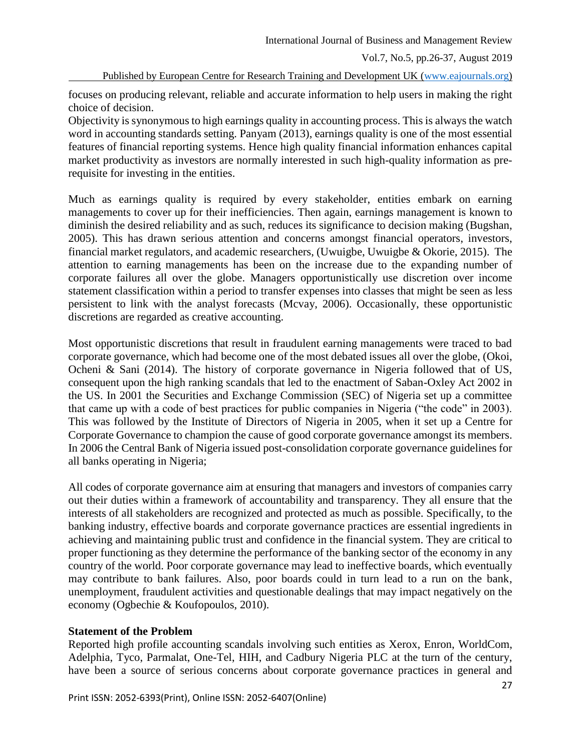International Journal of Business and Management Review

Vol.7, No.5, pp.26-37, August 2019

Published by European Centre for Research Training and Development UK [\(www.eajournals.org\)](http://www.eajournals.org/)

focuses on producing relevant, reliable and accurate information to help users in making the right choice of decision.

Objectivity is synonymous to high earnings quality in accounting process. This is always the watch word in accounting standards setting. Panyam (2013), earnings quality is one of the most essential features of financial reporting systems. Hence high quality financial information enhances capital market productivity as investors are normally interested in such high-quality information as prerequisite for investing in the entities.

Much as earnings quality is required by every stakeholder, entities embark on earning managements to cover up for their inefficiencies. Then again, earnings management is known to diminish the desired reliability and as such, reduces its significance to decision making (Bugshan, 2005). This has drawn serious attention and concerns amongst financial operators, investors, financial market regulators, and academic researchers, (Uwuigbe, Uwuigbe & Okorie, 2015). The attention to earning managements has been on the increase due to the expanding number of corporate failures all over the globe. Managers opportunistically use discretion over income statement classification within a period to transfer expenses into classes that might be seen as less persistent to link with the analyst forecasts (Mcvay, 2006). Occasionally, these opportunistic discretions are regarded as creative accounting.

Most opportunistic discretions that result in fraudulent earning managements were traced to bad corporate governance, which had become one of the most debated issues all over the globe, (Okoi, Ocheni & Sani (2014). The history of corporate governance in Nigeria followed that of US, consequent upon the high ranking scandals that led to the enactment of Saban-Oxley Act 2002 in the US. In 2001 the Securities and Exchange Commission (SEC) of Nigeria set up a committee that came up with a code of best practices for public companies in Nigeria ("the code" in 2003). This was followed by the Institute of Directors of Nigeria in 2005, when it set up a Centre for Corporate Governance to champion the cause of good corporate governance amongst its members. In 2006 the Central Bank of Nigeria issued post-consolidation corporate governance guidelines for all banks operating in Nigeria;

All codes of corporate governance aim at ensuring that managers and investors of companies carry out their duties within a framework of accountability and transparency. They all ensure that the interests of all stakeholders are recognized and protected as much as possible. Specifically, to the banking industry, effective boards and corporate governance practices are essential ingredients in achieving and maintaining public trust and confidence in the financial system. They are critical to proper functioning as they determine the performance of the banking sector of the economy in any country of the world. Poor corporate governance may lead to ineffective boards, which eventually may contribute to bank failures. Also, poor boards could in turn lead to a run on the bank, unemployment, fraudulent activities and questionable dealings that may impact negatively on the economy (Ogbechie & Koufopoulos, 2010).

### **Statement of the Problem**

Reported high profile accounting scandals involving such entities as Xerox, Enron, WorldCom, Adelphia, Tyco, Parmalat, One-Tel, HIH, and Cadbury Nigeria PLC at the turn of the century, have been a source of serious concerns about corporate governance practices in general and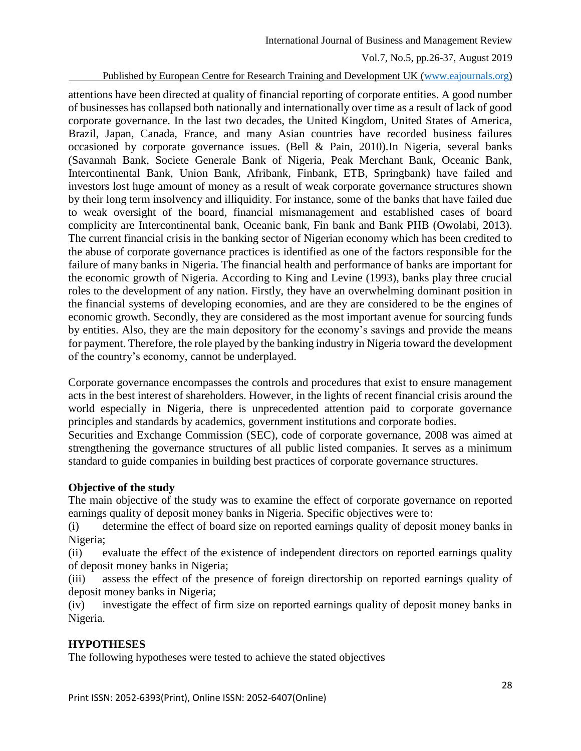International Journal of Business and Management Review

Vol.7, No.5, pp.26-37, August 2019

Published by European Centre for Research Training and Development UK [\(www.eajournals.org\)](http://www.eajournals.org/)

attentions have been directed at quality of financial reporting of corporate entities. A good number of businesses has collapsed both nationally and internationally over time as a result of lack of good corporate governance. In the last two decades, the United Kingdom, United States of America, Brazil, Japan, Canada, France, and many Asian countries have recorded business failures occasioned by corporate governance issues. (Bell & Pain, 2010).In Nigeria, several banks (Savannah Bank, Societe Generale Bank of Nigeria, Peak Merchant Bank, Oceanic Bank, Intercontinental Bank, Union Bank, Afribank, Finbank, ETB, Springbank) have failed and investors lost huge amount of money as a result of weak corporate governance structures shown by their long term insolvency and illiquidity. For instance, some of the banks that have failed due to weak oversight of the board, financial mismanagement and established cases of board complicity are Intercontinental bank, Oceanic bank, Fin bank and Bank PHB (Owolabi, 2013). The current financial crisis in the banking sector of Nigerian economy which has been credited to the abuse of corporate governance practices is identified as one of the factors responsible for the failure of many banks in Nigeria. The financial health and performance of banks are important for the economic growth of Nigeria. According to King and Levine (1993), banks play three crucial roles to the development of any nation. Firstly, they have an overwhelming dominant position in the financial systems of developing economies, and are they are considered to be the engines of economic growth. Secondly, they are considered as the most important avenue for sourcing funds by entities. Also, they are the main depository for the economy's savings and provide the means for payment. Therefore, the role played by the banking industry in Nigeria toward the development of the country's economy, cannot be underplayed.

Corporate governance encompasses the controls and procedures that exist to ensure management acts in the best interest of shareholders. However, in the lights of recent financial crisis around the world especially in Nigeria, there is unprecedented attention paid to corporate governance principles and standards by academics, government institutions and corporate bodies.

Securities and Exchange Commission (SEC), code of corporate governance, 2008 was aimed at strengthening the governance structures of all public listed companies. It serves as a minimum standard to guide companies in building best practices of corporate governance structures.

# **Objective of the study**

The main objective of the study was to examine the effect of corporate governance on reported earnings quality of deposit money banks in Nigeria. Specific objectives were to:

(i) determine the effect of board size on reported earnings quality of deposit money banks in Nigeria;

(ii) evaluate the effect of the existence of independent directors on reported earnings quality of deposit money banks in Nigeria;

(iii) assess the effect of the presence of foreign directorship on reported earnings quality of deposit money banks in Nigeria;

(iv) investigate the effect of firm size on reported earnings quality of deposit money banks in Nigeria.

# **HYPOTHESES**

The following hypotheses were tested to achieve the stated objectives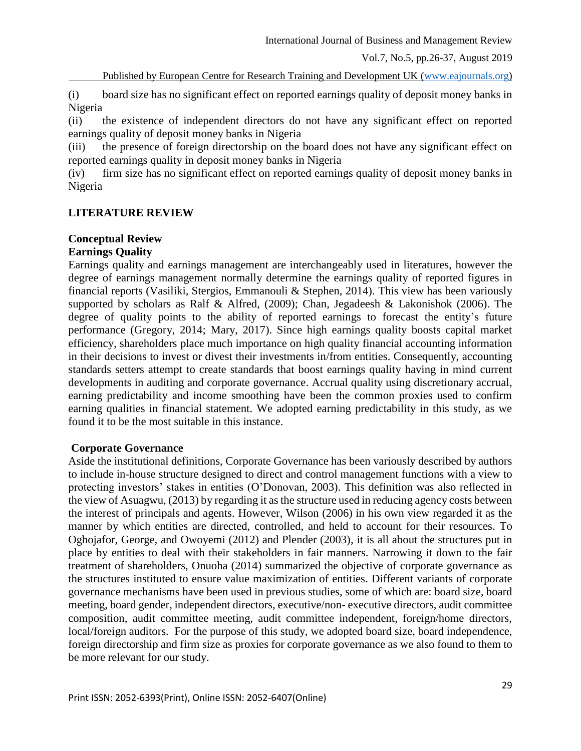Published by European Centre for Research Training and Development UK [\(www.eajournals.org\)](http://www.eajournals.org/)

(i) board size has no significant effect on reported earnings quality of deposit money banks in Nigeria

(ii) the existence of independent directors do not have any significant effect on reported earnings quality of deposit money banks in Nigeria

(iii) the presence of foreign directorship on the board does not have any significant effect on reported earnings quality in deposit money banks in Nigeria

(iv) firm size has no significant effect on reported earnings quality of deposit money banks in Nigeria

## **LITERATURE REVIEW**

#### **Conceptual Review Earnings Quality**

Earnings quality and earnings management are interchangeably used in literatures, however the degree of earnings management normally determine the earnings quality of reported figures in financial reports (Vasiliki, Stergios, Emmanouli & Stephen, 2014). This view has been variously supported by scholars as Ralf & Alfred, (2009); Chan, Jegadeesh & Lakonishok (2006). The degree of quality points to the ability of reported earnings to forecast the entity's future performance (Gregory, 2014; Mary, 2017). Since high earnings quality boosts capital market efficiency, shareholders place much importance on high quality financial accounting information in their decisions to invest or divest their investments in/from entities. Consequently, accounting standards setters attempt to create standards that boost earnings quality having in mind current developments in auditing and corporate governance. Accrual quality using discretionary accrual, earning predictability and income smoothing have been the common proxies used to confirm earning qualities in financial statement. We adopted earning predictability in this study, as we found it to be the most suitable in this instance.

### **Corporate Governance**

Aside the institutional definitions, Corporate Governance has been variously described by authors to include in-house structure designed to direct and control management functions with a view to protecting investors' stakes in entities (O'Donovan, 2003). This definition was also reflected in the view of Asuagwu, (2013) by regarding it as the structure used in reducing agency costs between the interest of principals and agents. However, Wilson (2006) in his own view regarded it as the manner by which entities are directed, controlled, and held to account for their resources. To Oghojafor, George, and Owoyemi (2012) and Plender (2003), it is all about the structures put in place by entities to deal with their stakeholders in fair manners. Narrowing it down to the fair treatment of shareholders, Onuoha (2014) summarized the objective of corporate governance as the structures instituted to ensure value maximization of entities. Different variants of corporate governance mechanisms have been used in previous studies, some of which are: board size, board meeting, board gender, independent directors, executive/non- executive directors, audit committee composition, audit committee meeting, audit committee independent, foreign/home directors, local/foreign auditors. For the purpose of this study, we adopted board size, board independence, foreign directorship and firm size as proxies for corporate governance as we also found to them to be more relevant for our study.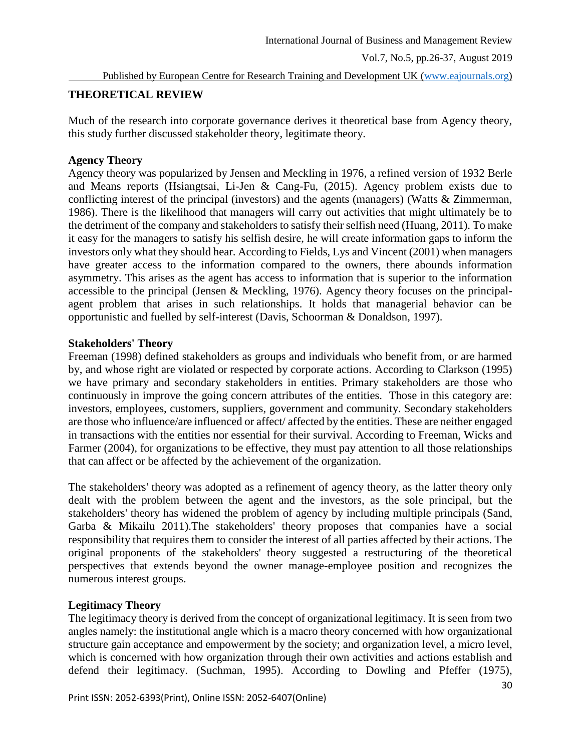Published by European Centre for Research Training and Development UK [\(www.eajournals.org\)](http://www.eajournals.org/)

## **THEORETICAL REVIEW**

Much of the research into corporate governance derives it theoretical base from Agency theory, this study further discussed stakeholder theory, legitimate theory.

### **Agency Theory**

Agency theory was popularized by Jensen and Meckling in 1976, a refined version of 1932 Berle and Means reports (Hsiangtsai, Li-Jen & Cang-Fu, (2015). Agency problem exists due to conflicting interest of the principal (investors) and the agents (managers) (Watts & Zimmerman, 1986). There is the likelihood that managers will carry out activities that might ultimately be to the detriment of the company and stakeholders to satisfy their selfish need (Huang, 2011). To make it easy for the managers to satisfy his selfish desire, he will create information gaps to inform the investors only what they should hear. According to Fields, Lys and Vincent (2001) when managers have greater access to the information compared to the owners, there abounds information asymmetry. This arises as the agent has access to information that is superior to the information accessible to the principal (Jensen & Meckling, 1976). Agency theory focuses on the principalagent problem that arises in such relationships. It holds that managerial behavior can be opportunistic and fuelled by self-interest (Davis, Schoorman & Donaldson, 1997).

## **Stakeholders' Theory**

Freeman (1998) defined stakeholders as groups and individuals who benefit from, or are harmed by, and whose right are violated or respected by corporate actions. According to Clarkson (1995) we have primary and secondary stakeholders in entities. Primary stakeholders are those who continuously in improve the going concern attributes of the entities. Those in this category are: investors, employees, customers, suppliers, government and community. Secondary stakeholders are those who influence/are influenced or affect/ affected by the entities. These are neither engaged in transactions with the entities nor essential for their survival. According to Freeman, Wicks and Farmer (2004), for organizations to be effective, they must pay attention to all those relationships that can affect or be affected by the achievement of the organization.

The stakeholders' theory was adopted as a refinement of agency theory, as the latter theory only dealt with the problem between the agent and the investors, as the sole principal, but the stakeholders' theory has widened the problem of agency by including multiple principals (Sand, Garba & Mikailu 2011).The stakeholders' theory proposes that companies have a social responsibility that requires them to consider the interest of all parties affected by their actions. The original proponents of the stakeholders' theory suggested a restructuring of the theoretical perspectives that extends beyond the owner manage-employee position and recognizes the numerous interest groups.

# **Legitimacy Theory**

The legitimacy theory is derived from the concept of organizational legitimacy. It is seen from two angles namely: the institutional angle which is a macro theory concerned with how organizational structure gain acceptance and empowerment by the society; and organization level, a micro level, which is concerned with how organization through their own activities and actions establish and defend their legitimacy. (Suchman, 1995). According to Dowling and Pfeffer (1975),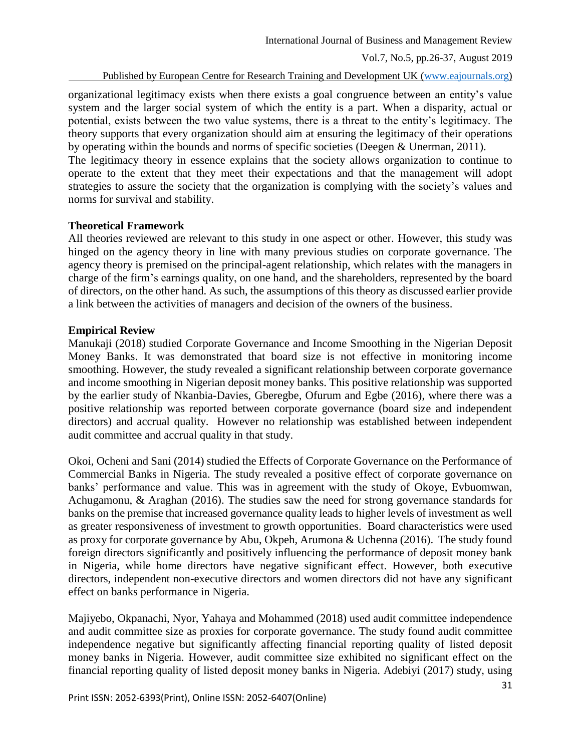Published by European Centre for Research Training and Development UK [\(www.eajournals.org\)](http://www.eajournals.org/)

organizational legitimacy exists when there exists a goal congruence between an entity's value system and the larger social system of which the entity is a part. When a disparity, actual or potential, exists between the two value systems, there is a threat to the entity's legitimacy. The theory supports that every organization should aim at ensuring the legitimacy of their operations by operating within the bounds and norms of specific societies (Deegen & Unerman, 2011).

The legitimacy theory in essence explains that the society allows organization to continue to operate to the extent that they meet their expectations and that the management will adopt strategies to assure the society that the organization is complying with the society's values and norms for survival and stability.

### **Theoretical Framework**

All theories reviewed are relevant to this study in one aspect or other. However, this study was hinged on the agency theory in line with many previous studies on corporate governance. The agency theory is premised on the principal-agent relationship, which relates with the managers in charge of the firm's earnings quality, on one hand, and the shareholders, represented by the board of directors, on the other hand. As such, the assumptions of this theory as discussed earlier provide a link between the activities of managers and decision of the owners of the business.

### **Empirical Review**

Manukaji (2018) studied Corporate Governance and Income Smoothing in the Nigerian Deposit Money Banks. It was demonstrated that board size is not effective in monitoring income smoothing. However, the study revealed a significant relationship between corporate governance and income smoothing in Nigerian deposit money banks. This positive relationship was supported by the earlier study of Nkanbia-Davies, Gberegbe, Ofurum and Egbe (2016), where there was a positive relationship was reported between corporate governance (board size and independent directors) and accrual quality. However no relationship was established between independent audit committee and accrual quality in that study.

Okoi, Ocheni and Sani (2014) studied the Effects of Corporate Governance on the Performance of Commercial Banks in Nigeria. The study revealed a positive effect of corporate governance on banks' performance and value. This was in agreement with the study of Okoye, Evbuomwan, Achugamonu, & Araghan (2016). The studies saw the need for strong governance standards for banks on the premise that increased governance quality leads to higher levels of investment as well as greater responsiveness of investment to growth opportunities. Board characteristics were used as proxy for corporate governance by Abu, Okpeh, Arumona & Uchenna (2016). The study found foreign directors significantly and positively influencing the performance of deposit money bank in Nigeria, while home directors have negative significant effect. However, both executive directors, independent non-executive directors and women directors did not have any significant effect on banks performance in Nigeria.

Majiyebo, Okpanachi, Nyor, Yahaya and Mohammed (2018) used audit committee independence and audit committee size as proxies for corporate governance. The study found audit committee independence negative but significantly affecting financial reporting quality of listed deposit money banks in Nigeria. However, audit committee size exhibited no significant effect on the financial reporting quality of listed deposit money banks in Nigeria. Adebiyi (2017) study, using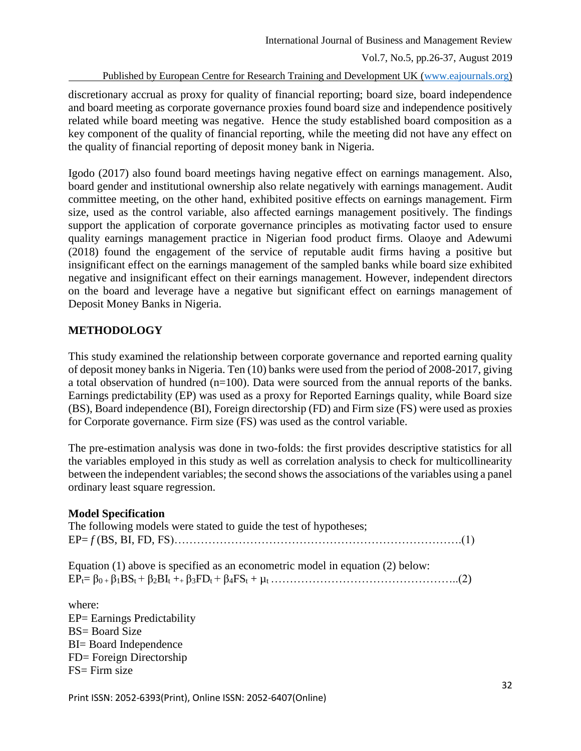Published by European Centre for Research Training and Development UK [\(www.eajournals.org\)](http://www.eajournals.org/)

discretionary accrual as proxy for quality of financial reporting; board size, board independence and board meeting as corporate governance proxies found board size and independence positively related while board meeting was negative. Hence the study established board composition as a key component of the quality of financial reporting, while the meeting did not have any effect on the quality of financial reporting of deposit money bank in Nigeria.

Igodo (2017) also found board meetings having negative effect on earnings management. Also, board gender and institutional ownership also relate negatively with earnings management. Audit committee meeting, on the other hand, exhibited positive effects on earnings management. Firm size, used as the control variable, also affected earnings management positively. The findings support the application of corporate governance principles as motivating factor used to ensure quality earnings management practice in Nigerian food product firms. Olaoye and Adewumi (2018) found the engagement of the service of reputable audit firms having a positive but insignificant effect on the earnings management of the sampled banks while board size exhibited negative and insignificant effect on their earnings management. However, independent directors on the board and leverage have a negative but significant effect on earnings management of Deposit Money Banks in Nigeria.

# **METHODOLOGY**

This study examined the relationship between corporate governance and reported earning quality of deposit money banks in Nigeria. Ten (10) banks were used from the period of 2008-2017, giving a total observation of hundred ( $n=100$ ). Data were sourced from the annual reports of the banks. Earnings predictability (EP) was used as a proxy for Reported Earnings quality, while Board size (BS), Board independence (BI), Foreign directorship (FD) and Firm size (FS) were used as proxies for Corporate governance. Firm size (FS) was used as the control variable.

The pre-estimation analysis was done in two-folds: the first provides descriptive statistics for all the variables employed in this study as well as correlation analysis to check for multicollinearity between the independent variables; the second shows the associations of the variables using a panel ordinary least square regression.

# **Model Specification**

| The following models were stated to guide the test of hypotheses; |  |
|-------------------------------------------------------------------|--|
|                                                                   |  |

Equation (1) above is specified as an econometric model in equation (2) below: EPt= β0 + β1BSt + β2BI<sup>t</sup> ++ β3FDt + β4FS<sup>t</sup> + µ<sup>t</sup> …………………………………………..(2)

where: EP= Earnings Predictability BS= Board Size BI= Board Independence FD= Foreign Directorship FS= Firm size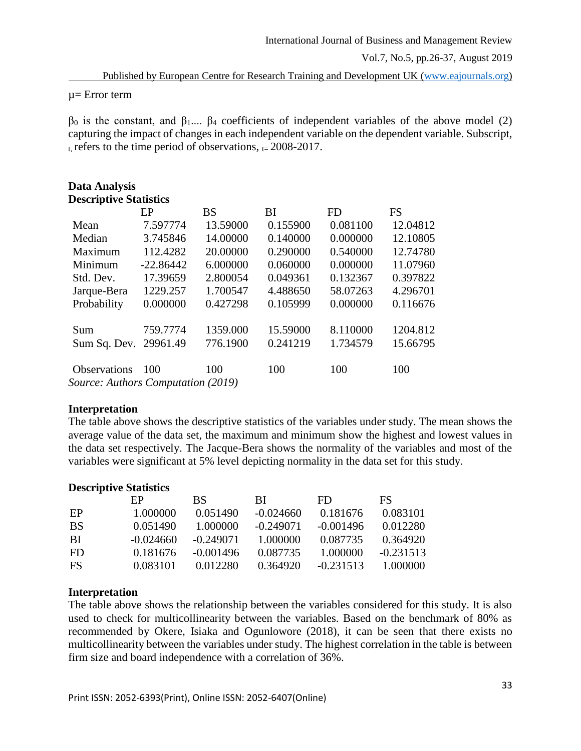Published by European Centre for Research Training and Development UK [\(www.eajournals.org\)](http://www.eajournals.org/)

µ= Error term

 $β_0$  is the constant, and  $β_1...$   $β_4$  coefficients of independent variables of the above model (2) capturing the impact of changes in each independent variable on the dependent variable. Subscript, t, refers to the time period of observations,  $t = 2008-2017$ .

| <b>Data Analysis</b>               |             |           |          |           |           |  |  |
|------------------------------------|-------------|-----------|----------|-----------|-----------|--|--|
| <b>Descriptive Statistics</b>      |             |           |          |           |           |  |  |
|                                    | EP          | <b>BS</b> | ВI       | <b>FD</b> | <b>FS</b> |  |  |
| Mean                               | 7.597774    | 13.59000  | 0.155900 | 0.081100  | 12.04812  |  |  |
| Median                             | 3.745846    | 14.00000  | 0.140000 | 0.000000  | 12.10805  |  |  |
| Maximum                            | 112.4282    | 20.00000  | 0.290000 | 0.540000  | 12.74780  |  |  |
| Minimum                            | $-22.86442$ | 6.000000  | 0.060000 | 0.000000  | 11.07960  |  |  |
| Std. Dev.                          | 17.39659    | 2.800054  | 0.049361 | 0.132367  | 0.397822  |  |  |
| Jarque-Bera                        | 1229.257    | 1.700547  | 4.488650 | 58.07263  | 4.296701  |  |  |
| Probability                        | 0.000000    | 0.427298  | 0.105999 | 0.000000  | 0.116676  |  |  |
| Sum                                | 759.7774    | 1359.000  | 15.59000 | 8.110000  | 1204.812  |  |  |
| Sum Sq. Dev. 29961.49              |             | 776.1900  | 0.241219 | 1.734579  | 15.66795  |  |  |
| <b>Observations</b>                | 100         | 100       | 100      | 100       | 100       |  |  |
| Source: Authors Computation (2019) |             |           |          |           |           |  |  |

### **Interpretation**

The table above shows the descriptive statistics of the variables under study. The mean shows the average value of the data set, the maximum and minimum show the highest and lowest values in the data set respectively. The Jacque-Bera shows the normality of the variables and most of the variables were significant at 5% level depicting normality in the data set for this study.

#### **Descriptive Statistics**

|           | EP          | BS          | BL.         | FD.         | FS          |
|-----------|-------------|-------------|-------------|-------------|-------------|
| EP        | 1.000000    | 0.051490    | $-0.024660$ | 0.181676    | 0.083101    |
| <b>BS</b> | 0.051490    | 1.000000    | $-0.249071$ | $-0.001496$ | 0.012280    |
| BI        | $-0.024660$ | $-0.249071$ | 1.000000    | 0.087735    | 0.364920    |
| <b>FD</b> | 0.181676    | $-0.001496$ | 0.087735    | 1.000000    | $-0.231513$ |
| FS        | 0.083101    | 0.012280    | 0.364920    | $-0.231513$ | 1.000000    |

### **Interpretation**

The table above shows the relationship between the variables considered for this study. It is also used to check for multicollinearity between the variables. Based on the benchmark of 80% as recommended by Okere, Isiaka and Ogunlowore (2018), it can be seen that there exists no multicollinearity between the variables under study. The highest correlation in the table is between firm size and board independence with a correlation of 36%.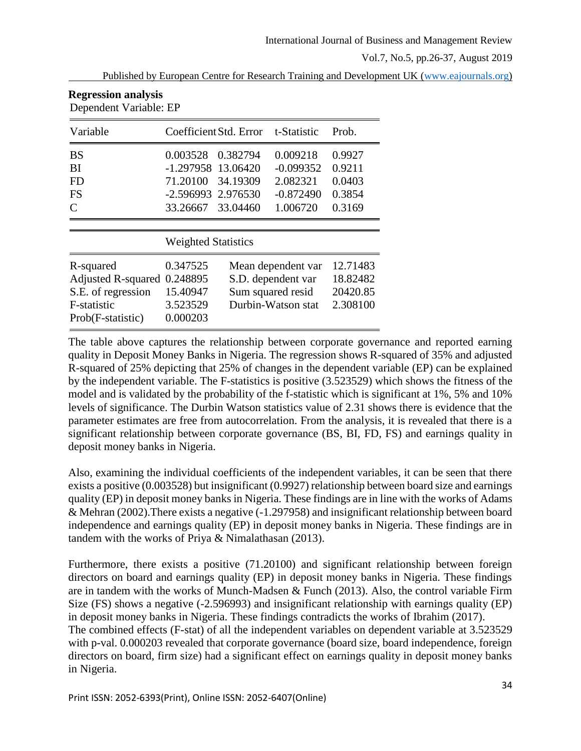Published by European Centre for Research Training and Development UK [\(www.eajournals.org\)](http://www.eajournals.org/)

| Dependent Variable: EP                                                                           |                                                                         |                                                                                     |                                                                |                                                |  |  |
|--------------------------------------------------------------------------------------------------|-------------------------------------------------------------------------|-------------------------------------------------------------------------------------|----------------------------------------------------------------|------------------------------------------------|--|--|
| Variable                                                                                         | Coefficient Std. Error<br>t-Statistic                                   |                                                                                     |                                                                | Prob.                                          |  |  |
| <b>BS</b><br>BI<br><b>FD</b><br>FS<br>$\subset$                                                  | 0.003528<br>$-1.297958$<br>71.20100<br>$-2.596993$<br>33.26667 33.04460 | 0.382794<br>13.06420<br>34.19309<br>2.976530                                        | 0.009218<br>$-0.099352$<br>2.082321<br>$-0.872490$<br>1.006720 | 0.9927<br>0.9211<br>0.0403<br>0.3854<br>0.3169 |  |  |
| <b>Weighted Statistics</b>                                                                       |                                                                         |                                                                                     |                                                                |                                                |  |  |
| R-squared<br><b>Adjusted R-squared</b><br>S.E. of regression<br>F-statistic<br>Prob(F-statistic) | 0.347525<br>0.248895<br>15.40947<br>3.523529<br>0.000203                | Mean dependent var<br>S.D. dependent var<br>Sum squared resid<br>Durbin-Watson stat |                                                                | 12.71483<br>18.82482<br>20420.85<br>2.308100   |  |  |

**Regression analysis**

The table above captures the relationship between corporate governance and reported earning quality in Deposit Money Banks in Nigeria. The regression shows R-squared of 35% and adjusted R-squared of 25% depicting that 25% of changes in the dependent variable (EP) can be explained by the independent variable. The F-statistics is positive (3.523529) which shows the fitness of the model and is validated by the probability of the f-statistic which is significant at 1%, 5% and 10% levels of significance. The Durbin Watson statistics value of 2.31 shows there is evidence that the parameter estimates are free from autocorrelation. From the analysis, it is revealed that there is a significant relationship between corporate governance (BS, BI, FD, FS) and earnings quality in deposit money banks in Nigeria.

Also, examining the individual coefficients of the independent variables, it can be seen that there exists a positive (0.003528) but insignificant (0.9927) relationship between board size and earnings quality (EP) in deposit money banks in Nigeria. These findings are in line with the works of Adams & Mehran (2002).There exists a negative (-1.297958) and insignificant relationship between board independence and earnings quality (EP) in deposit money banks in Nigeria. These findings are in tandem with the works of Priya & Nimalathasan (2013).

Furthermore, there exists a positive (71.20100) and significant relationship between foreign directors on board and earnings quality (EP) in deposit money banks in Nigeria. These findings are in tandem with the works of Munch-Madsen & Funch (2013). Also, the control variable Firm Size (FS) shows a negative (-2.596993) and insignificant relationship with earnings quality (EP) in deposit money banks in Nigeria. These findings contradicts the works of Ibrahim (2017). The combined effects (F-stat) of all the independent variables on dependent variable at 3.523529 with p-val. 0.000203 revealed that corporate governance (board size, board independence, foreign directors on board, firm size) had a significant effect on earnings quality in deposit money banks in Nigeria.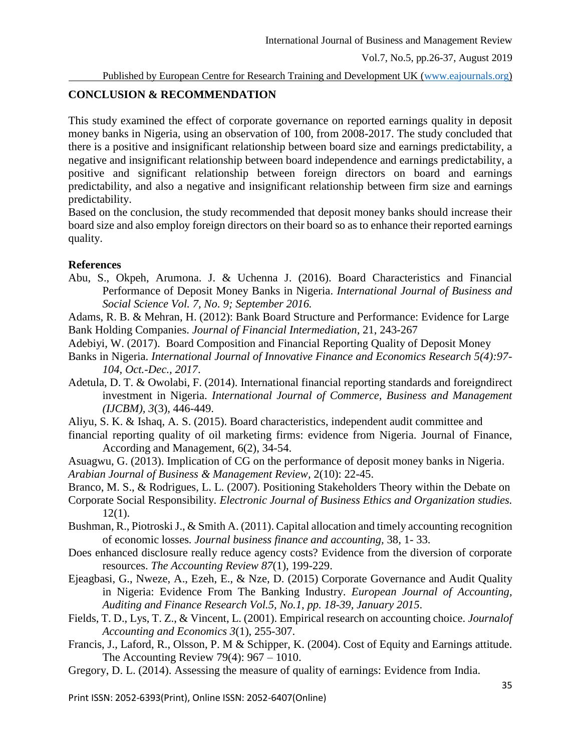#### **CONCLUSION & RECOMMENDATION**

This study examined the effect of corporate governance on reported earnings quality in deposit money banks in Nigeria, using an observation of 100, from 2008-2017. The study concluded that there is a positive and insignificant relationship between board size and earnings predictability, a negative and insignificant relationship between board independence and earnings predictability, a positive and significant relationship between foreign directors on board and earnings predictability, and also a negative and insignificant relationship between firm size and earnings predictability.

Based on the conclusion, the study recommended that deposit money banks should increase their board size and also employ foreign directors on their board so as to enhance their reported earnings quality.

#### **References**

Abu, S., Okpeh, Arumona. J. & Uchenna J. (2016). Board Characteristics and Financial Performance of Deposit Money Banks in Nigeria. *International Journal of Business and Social Science Vol. 7, No. 9; September 2016.*

Adams, R. B. & Mehran, H. (2012): Bank Board Structure and Performance: Evidence for Large Bank Holding Companies. *Journal of Financial Intermediation*, 21, 243-267

- Adebiyi, W. (2017). Board Composition and Financial Reporting Quality of Deposit Money
- Banks in Nigeria. *International Journal of Innovative Finance and Economics Research 5(4):97- 104, Oct.-Dec., 2017*.
- Adetula, D. T. & Owolabi, F. (2014). International financial reporting standards and foreigndirect investment in Nigeria. *International Journal of Commerce, Business and Management (IJCBM), 3*(3), 446-449.
- Aliyu, S. K. & Ishaq, A. S. (2015). Board characteristics, independent audit committee and
- financial reporting quality of oil marketing firms: evidence from Nigeria. Journal of Finance, According and Management, 6(2), 34-54.
- Asuagwu, G. (2013). Implication of CG on the performance of deposit money banks in Nigeria. *Arabian Journal of Business & Management Review,* 2(10): 22-45.
- Branco, M. S., & Rodrigues, L. L. (2007). Positioning Stakeholders Theory within the Debate on
- Corporate Social Responsibility. *Electronic Journal of Business Ethics and Organization studies.*  12(1).
- Bushman, R., Piotroski J., & Smith A. (2011). Capital allocation and timely accounting recognition of economic losses*. Journal business finance and accounting,* 38, 1- 33.
- Does enhanced disclosure really reduce agency costs? Evidence from the diversion of corporate resources. *The Accounting Review 87*(1), 199-229.
- Ejeagbasi, G., Nweze, A., Ezeh, E., & Nze, D. (2015) Corporate Governance and Audit Quality in Nigeria: Evidence From The Banking Industry. *European Journal of Accounting, Auditing and Finance Research Vol.5, No.1, pp. 18-39, January 2015*.
- Fields, T. D., Lys, T. Z., & Vincent, L. (2001). Empirical research on accounting choice. *Journalof Accounting and Economics 3*(1), 255-307.
- Francis, J., Laford, R., Olsson, P. M & Schipper, K. (2004). Cost of Equity and Earnings attitude. The Accounting Review 79(4): 967 – 1010.
- Gregory, D. L. (2014). Assessing the measure of quality of earnings: Evidence from India.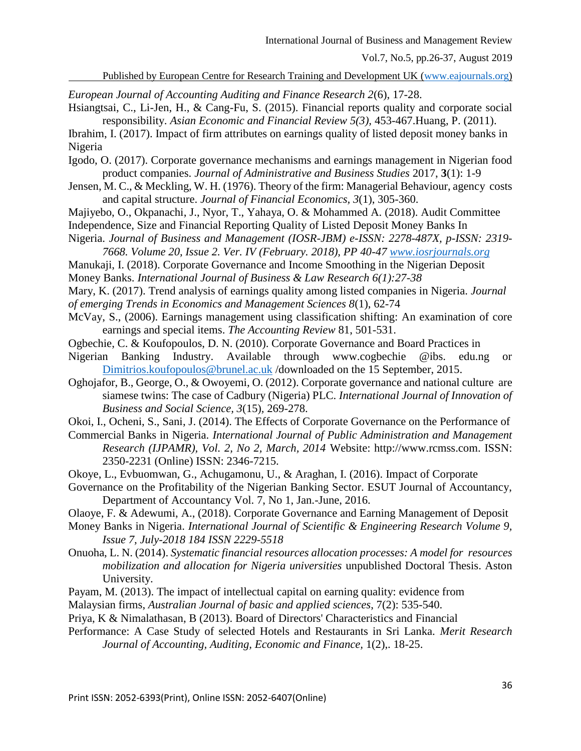Published by European Centre for Research Training and Development UK [\(www.eajournals.org\)](http://www.eajournals.org/)

*European Journal of Accounting Auditing and Finance Research 2*(6), 17-28. Hsiangtsai, C., Li-Jen, H., & Cang-Fu, S. (2015). Financial reports quality and corporate social

responsibility. *Asian Economic and Financial Review 5(3),* 453-467.Huang, P. (2011). Ibrahim, I. (2017). Impact of firm attributes on earnings quality of listed deposit money banks in Nigeria

- Igodo, O. (2017). Corporate governance mechanisms and earnings management in Nigerian food product companies. *Journal of Administrative and Business Studies* 2017, **3**(1): 1-9
- Jensen, M. C., & Meckling, W. H. (1976). Theory of the firm: Managerial Behaviour, agency costs and capital structure. *Journal of Financial Economics, 3*(1), 305-360.
- Majiyebo, O., Okpanachi, J., Nyor, T., Yahaya, O. & Mohammed A. (2018). Audit Committee Independence, Size and Financial Reporting Quality of Listed Deposit Money Banks In
- Nigeria. *Journal of Business and Management (IOSR-JBM) e-ISSN: 2278-487X, p-ISSN: 2319- 7668. Volume 20, Issue 2. Ver. IV (February. 2018), PP 40-47 [www.iosrjournals.org](http://www.iosrjournals.org/)*
- Manukaji, I. (2018). Corporate Governance and Income Smoothing in the Nigerian Deposit
- Money Banks. *International Journal of Business & Law Research 6(1):27-38*
- Mary, K. (2017). Trend analysis of earnings quality among listed companies in Nigeria. *Journal of emerging Trends in Economics and Management Sciences 8*(1), 62-74
- McVay, S., (2006). Earnings management using classification shifting: An examination of core earnings and special items. *The Accounting Review* 81, 501-531.
- Ogbechie, C. & Koufopoulos, D. N. (2010). Corporate Governance and Board Practices in
- Nigerian Banking Industry. Available through www.cogbechie @ibs. edu.ng or [Dimitrios.koufopoulos@brunel.ac.uk](mailto:Dimitrios.koufopoulos@brunel.ac.uk) /downloaded on the 15 September, 2015.
- Oghojafor, B., George, O., & Owoyemi, O. (2012). Corporate governance and national culture are siamese twins: The case of Cadbury (Nigeria) PLC. *International Journal of Innovation of Business and Social Science, 3*(15)*,* 269-278.
- Okoi, I., Ocheni, S., Sani, J. (2014). The Effects of Corporate Governance on the Performance of
- Commercial Banks in Nigeria. *International Journal of Public Administration and Management Research (IJPAMR), Vol. 2, No 2, March, 2014* Website: http://www.rcmss.com. ISSN: 2350-2231 (Online) ISSN: 2346-7215.
- Okoye, L., Evbuomwan, G., Achugamonu, U., & Araghan, I. (2016). Impact of Corporate
- Governance on the Profitability of the Nigerian Banking Sector. ESUT Journal of Accountancy, Department of Accountancy Vol. 7, No 1, Jan.-June, 2016.
- Olaoye, F. & Adewumi, A., (2018). Corporate Governance and Earning Management of Deposit
- Money Banks in Nigeria. *International Journal of Scientific & Engineering Research Volume 9, Issue 7, July-2018 184 ISSN 2229-5518*
- Onuoha, L. N. (2014). *Systematic financial resources allocation processes: A model for resources mobilization and allocation for Nigeria universities* unpublished Doctoral Thesis. Aston University.
- Payam, M. (2013). The impact of intellectual capital on earning quality: evidence from
- Malaysian firms, *Australian Journal of basic and applied sciences*, 7(2): 535-540.
- Priya, K & Nimalathasan, B (2013). Board of Directors' Characteristics and Financial
- Performance: A Case Study of selected Hotels and Restaurants in Sri Lanka. *Merit Research Journal of Accounting, Auditing, Economic and Finance,* 1(2),. 18-25.